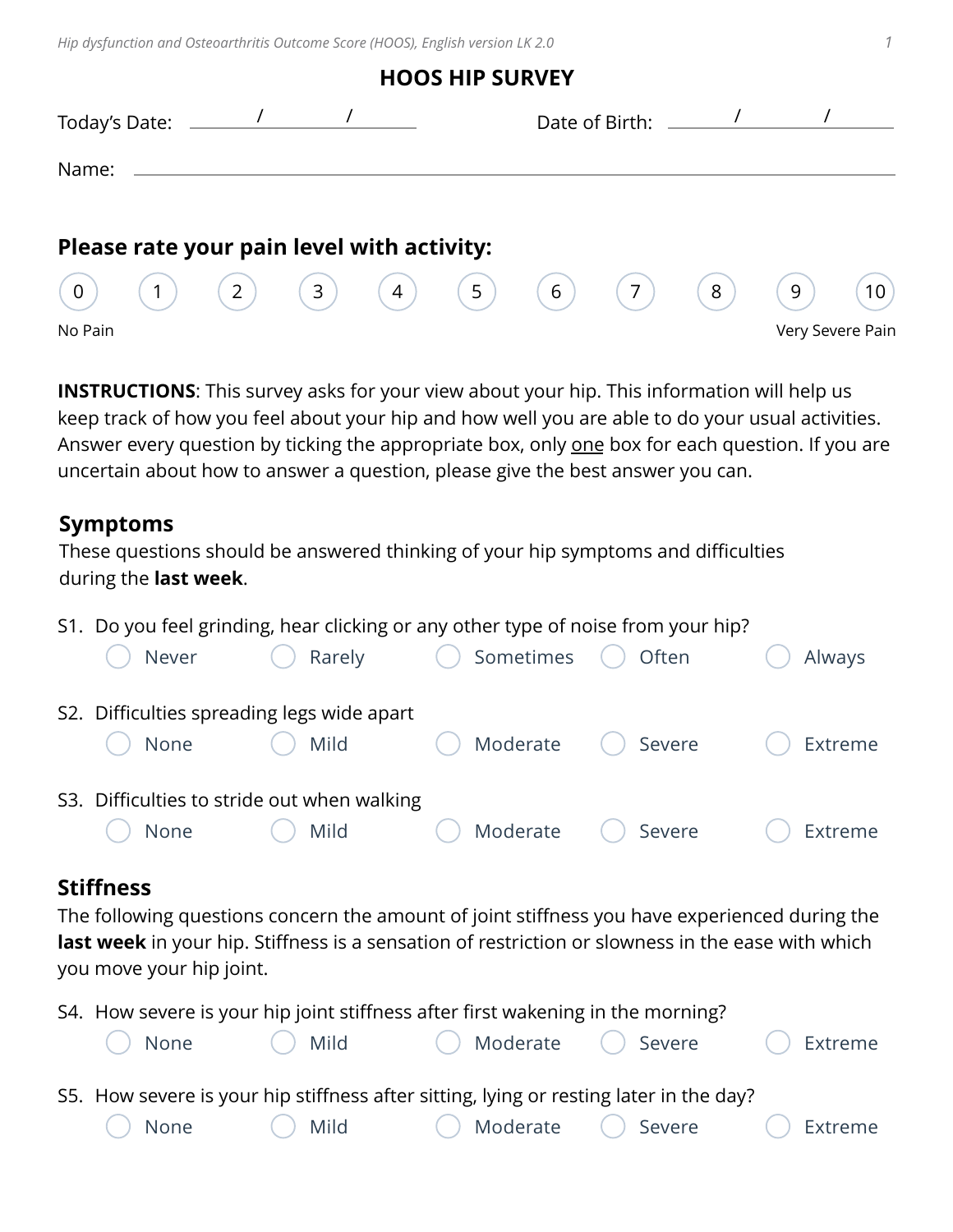*Hip dysfunction and Osteoarthritis Outcome Score (HOOS), English version LK 2.0 1*

|                                                                                                                                                                                                                                                                                                                                                                                                                    |  |  | NUUS NIF SURVEI     |     |                                        |   |   |                  |
|--------------------------------------------------------------------------------------------------------------------------------------------------------------------------------------------------------------------------------------------------------------------------------------------------------------------------------------------------------------------------------------------------------------------|--|--|---------------------|-----|----------------------------------------|---|---|------------------|
| Today's Date: $\frac{1}{\sqrt{1-\frac{1}{2}}}\frac{1}{\sqrt{1-\frac{1}{2}}}\frac{1}{\sqrt{1-\frac{1}{2}}}\frac{1}{\sqrt{1-\frac{1}{2}}}\frac{1}{\sqrt{1-\frac{1}{2}}}\frac{1}{\sqrt{1-\frac{1}{2}}}\frac{1}{\sqrt{1-\frac{1}{2}}}\frac{1}{\sqrt{1-\frac{1}{2}}}\frac{1}{\sqrt{1-\frac{1}{2}}}\frac{1}{\sqrt{1-\frac{1}{2}}}\frac{1}{\sqrt{1-\frac{1}{2}}}\frac{1}{\sqrt{1-\frac{1}{2}}}\frac{1}{\sqrt{1-\frac{1}{$ |  |  |                     |     | Date of Birth: $\frac{1}{\sqrt{2\pi}}$ |   |   |                  |
| Name:                                                                                                                                                                                                                                                                                                                                                                                                              |  |  |                     |     |                                        |   |   |                  |
| Please rate your pain level with activity:                                                                                                                                                                                                                                                                                                                                                                         |  |  |                     |     |                                        |   |   |                  |
| (0)                                                                                                                                                                                                                                                                                                                                                                                                                |  |  | (1) (2) (3) (4) (5) | (6) | (7)                                    | 8 | 9 | 10 <sup>°</sup>  |
| No Pain                                                                                                                                                                                                                                                                                                                                                                                                            |  |  |                     |     |                                        |   |   | Very Severe Pain |

**HOOS HIP SURVEY**

**INSTRUCTIONS:** This survey asks for your view about your hip. This information will help us keep track of how you feel about your hip and how well you are able to do your usual activities. Answer every question by ticking the appropriate box, only one box for each question. If you are uncertain about how to answer a question, please give the best answer you can.

#### **Symptoms**

These questions should be answered thinking of your hip symptoms and difficulties during the **last week**.

S1. Do you feel grinding, hear clicking or any other type of noise from your hip?

| Never                                       | Rarely | Sometimes | ( ) Often        | Always  |
|---------------------------------------------|--------|-----------|------------------|---------|
| S2. Difficulties spreading legs wide apart  |        |           |                  |         |
| None                                        | Mild   | Moderate  | Severe<br>$(\ )$ | Extreme |
| S3. Difficulties to stride out when walking |        |           |                  |         |
| None                                        | Mild   | Moderate  | Severe           | Extreme |

## **Stiffness**

The following questions concern the amount of joint stiffness you have experienced during the **last week** in your hip. Stiffness is a sensation of restriction or slowness in the ease with which you move your hip joint.

S4. How severe is your hip joint stiffness after first wakening in the morning?

| () None () Mild | ○ Moderate ○ Severe   ○ Extreme                                                        |  |
|-----------------|----------------------------------------------------------------------------------------|--|
|                 | S5. How severe is your hip stiffness after sitting, lying or resting later in the day? |  |
|                 | ◯ None ◯ Mild ◯ Moderate ◯ Severe ◯ Extreme                                            |  |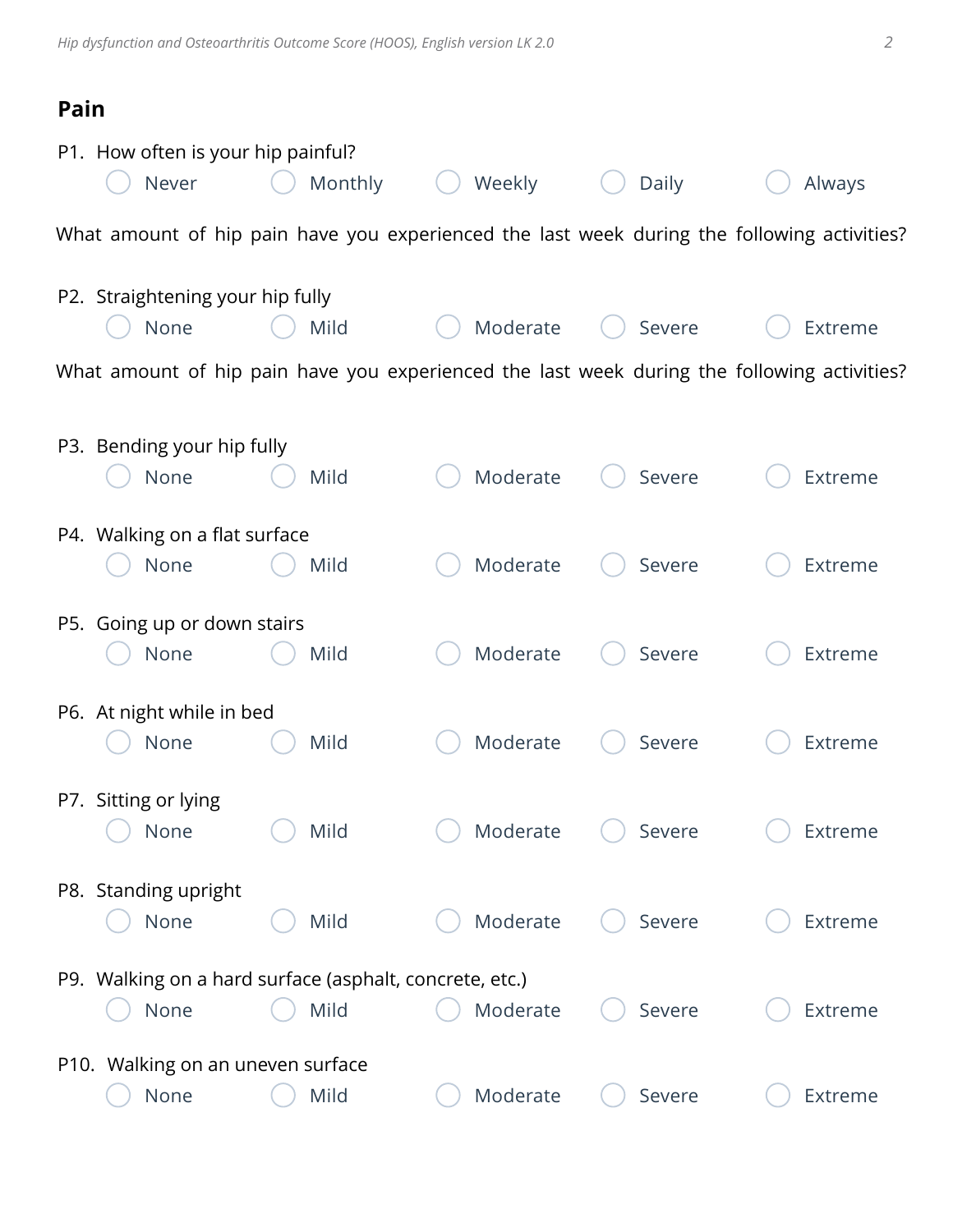# **Pain**

| P1. How often is your hip painful?<br>Never | Monthly                                                                                     | Weekly   | Daily  | Always  |
|---------------------------------------------|---------------------------------------------------------------------------------------------|----------|--------|---------|
|                                             | What amount of hip pain have you experienced the last week during the following activities? |          |        |         |
| P2. Straightening your hip fully<br>None    | Mild                                                                                        | Moderate | Severe | Extreme |
|                                             | What amount of hip pain have you experienced the last week during the following activities? |          |        |         |
| P3. Bending your hip fully<br>None          | Mild                                                                                        | Moderate | Severe | Extreme |
| P4. Walking on a flat surface<br>None       | Mild                                                                                        | Moderate | Severe | Extreme |
| P5. Going up or down stairs<br>None         | Mild                                                                                        | Moderate | Severe | Extreme |
| P6. At night while in bed<br>None           | Mild                                                                                        | Moderate | Severe | Extreme |
| P7. Sitting or lying<br>None                | Mild                                                                                        | Moderate | Severe | Extreme |
| P8. Standing upright<br>None                | Mild                                                                                        | Moderate | Severe | Extreme |
| None                                        | P9. Walking on a hard surface (asphalt, concrete, etc.)<br>Mild                             | Moderate | Severe | Extreme |
|                                             |                                                                                             |          |        |         |
| P10. Walking on an uneven surface<br>None   | Mild                                                                                        | Moderate | Severe | Extreme |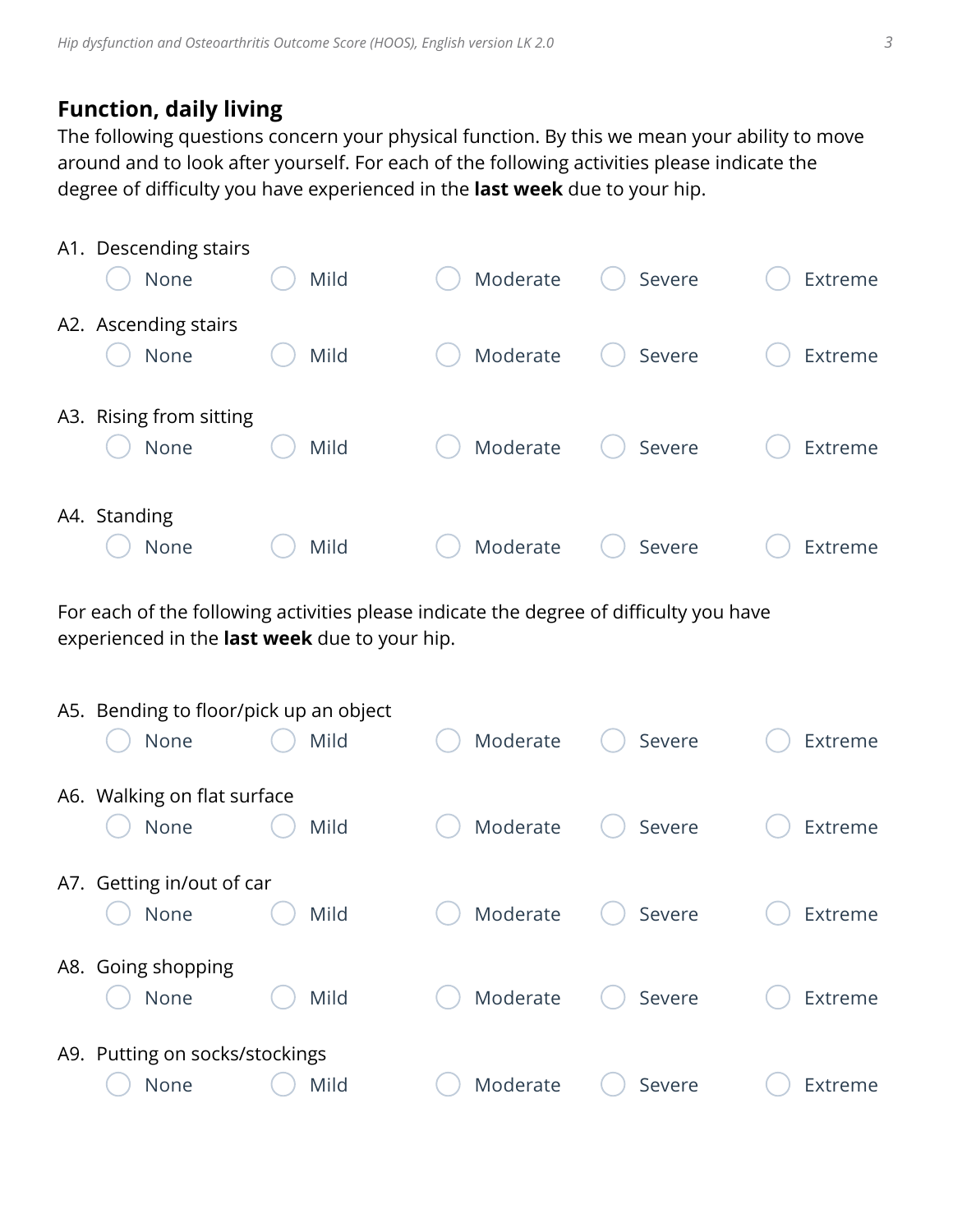### **Function, daily living**

The following questions concern your physical function. By this we mean your ability to move around and to look after yourself. For each of the following activities please indicate the degree of difficulty you have experienced in the **last week** due to your hip.

| A1. Descending stairs<br>None   | Mild | Moderate | Severe | Extreme |
|---------------------------------|------|----------|--------|---------|
| A2. Ascending stairs<br>None    | Mild | Moderate | Severe | Extreme |
| A3. Rising from sitting<br>None | Mild | Moderate | Severe | Extreme |
| A4. Standing<br>None            | Mild | Moderate | Severe | Extreme |

For each of the following activities please indicate the degree of difficulty you have experienced in the **last week** due to your hip.

| A5. Bending to floor/pick up an object |      |          |        |         |
|----------------------------------------|------|----------|--------|---------|
| None                                   | Mild | Moderate | Severe | Extreme |
| A6. Walking on flat surface<br>None    | Mild | Moderate | Severe | Extreme |
| A7. Getting in/out of car<br>None      | Mild | Moderate | Severe | Extreme |
| A8. Going shopping<br>None             | Mild | Moderate | Severe | Extreme |
| A9. Putting on socks/stockings<br>None | Mild | Moderate | Severe | Extreme |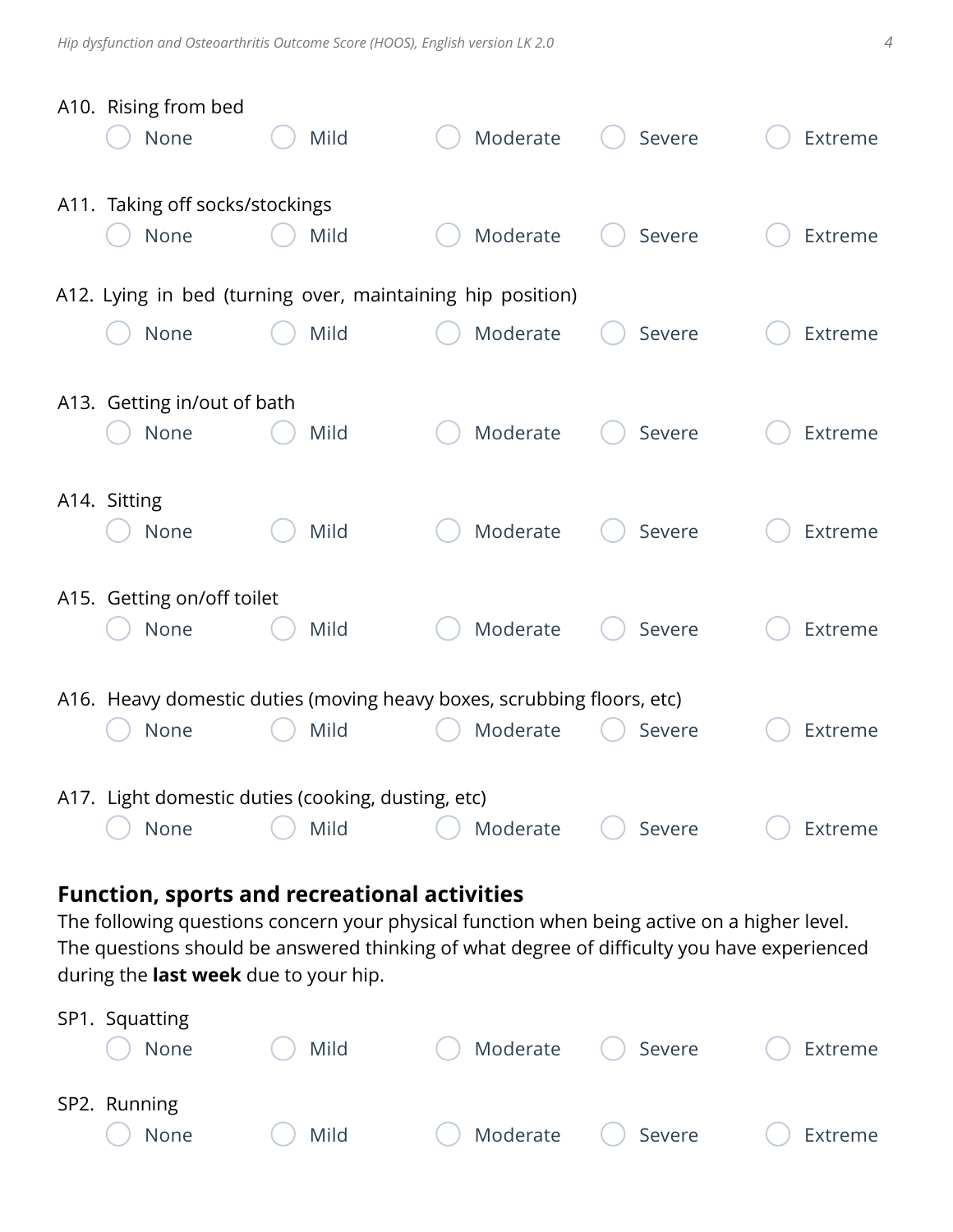| A10. Rising from bed<br>None            | Mild                                                                           | Moderate | Severe | Extreme |
|-----------------------------------------|--------------------------------------------------------------------------------|----------|--------|---------|
| A11. Taking off socks/stockings<br>None | Mild                                                                           | Moderate | Severe | Extreme |
|                                         | A12. Lying in bed (turning over, maintaining hip position)                     |          |        |         |
| None                                    | Mild                                                                           | Moderate | Severe | Extreme |
| A13. Getting in/out of bath<br>None     | Mild                                                                           | Moderate | Severe | Extreme |
| A14. Sitting<br>None                    | Mild                                                                           | Moderate | Severe | Extreme |
| A15. Getting on/off toilet<br>None      | Mild                                                                           | Moderate | Severe | Extreme |
| None                                    | A16. Heavy domestic duties (moving heavy boxes, scrubbing floors, etc)<br>Mild | Moderate | Severe | Extreme |
| None                                    | A17. Light domestic duties (cooking, dusting, etc)<br>Mild                     | Moderate | Severe | Extreme |

## **Function, sports and recreational activities**

The following questions concern your physical function when being active on a higher level. The questions should be answered thinking of what degree of difficulty you have experienced during the **last week** due to your hip.

| SP1. Squatting<br>None | Mild | Moderate () Severe<br>$\begin{pmatrix} 1 \\ 1 \end{pmatrix}$ |            | Extreme |
|------------------------|------|--------------------------------------------------------------|------------|---------|
| SP2. Running<br>None   | Mild | Moderate<br>$\begin{pmatrix} 1 \\ 1 \end{pmatrix}$           | ( ) Severe | Extreme |